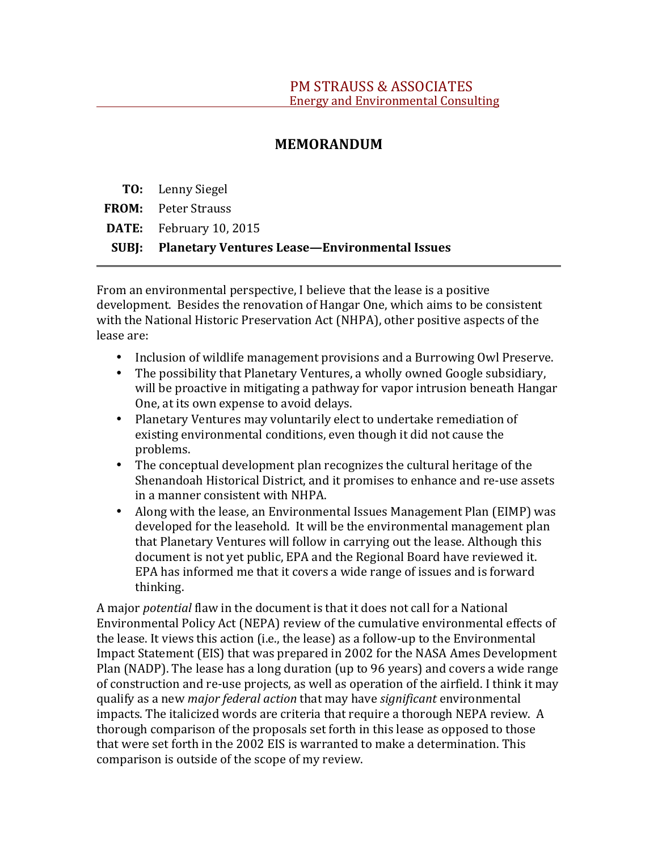# **MEMORANDUM**

**TO:** Lenny Siegel 

**FROM:** Peter Strauss

**DATE:** February 10, 2015

**SUBJ: Planetary Ventures Lease—Environmental Issues**

From an environmental perspective, I believe that the lease is a positive development. Besides the renovation of Hangar One, which aims to be consistent with the National Historic Preservation Act (NHPA), other positive aspects of the lease are:

- Inclusion of wildlife management provisions and a Burrowing Owl Preserve.
- The possibility that Planetary Ventures, a wholly owned Google subsidiary, will be proactive in mitigating a pathway for vapor intrusion beneath Hangar One, at its own expense to avoid delays.
- Planetary Ventures may voluntarily elect to undertake remediation of existing environmental conditions, even though it did not cause the problems.
- The conceptual development plan recognizes the cultural heritage of the Shenandoah Historical District, and it promises to enhance and re-use assets in a manner consistent with NHPA.
- Along with the lease, an Environmental Issues Management Plan (EIMP) was developed for the leasehold. It will be the environmental management plan that Planetary Ventures will follow in carrying out the lease. Although this document is not yet public, EPA and the Regional Board have reviewed it. EPA has informed me that it covers a wide range of issues and is forward thinking.

A major *potential* flaw in the document is that it does not call for a National Environmental Policy Act (NEPA) review of the cumulative environmental effects of the lease. It views this action  $(i.e., the lease)$  as a follow-up to the Environmental Impact Statement (EIS) that was prepared in 2002 for the NASA Ames Development Plan (NADP). The lease has a long duration (up to 96 years) and covers a wide range of construction and re-use projects, as well as operation of the airfield. I think it may qualify as a new *major federal action* that may have *significant* environmental impacts. The italicized words are criteria that require a thorough NEPA review. A thorough comparison of the proposals set forth in this lease as opposed to those that were set forth in the 2002 EIS is warranted to make a determination. This comparison is outside of the scope of my review.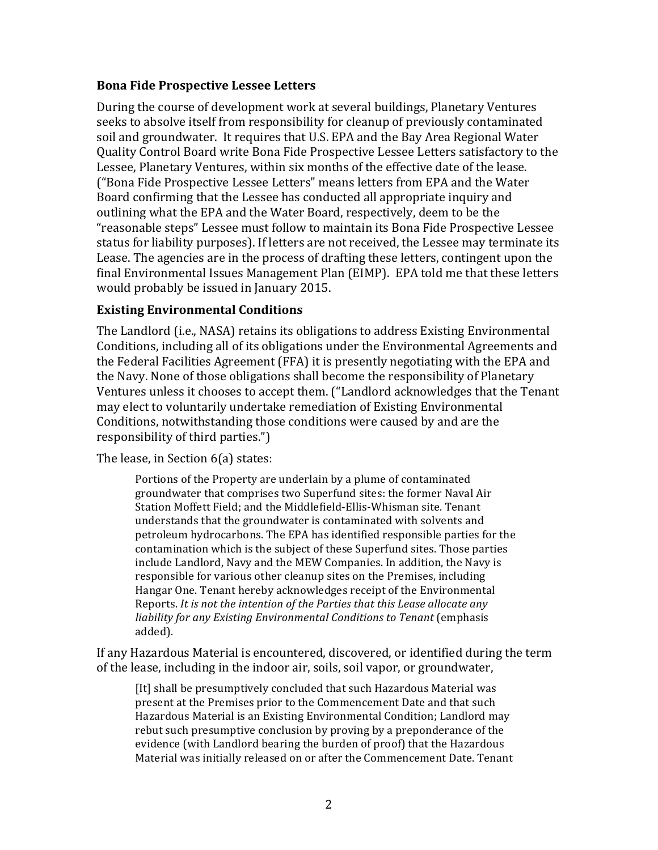### **Bona Fide Prospective Lessee Letters**

During the course of development work at several buildings, Planetary Ventures seeks to absolve itself from responsibility for cleanup of previously contaminated soil and groundwater. It requires that U.S. EPA and the Bay Area Regional Water Quality Control Board write Bona Fide Prospective Lessee Letters satisfactory to the Lessee, Planetary Ventures, within six months of the effective date of the lease. ("Bona Fide Prospective Lessee Letters" means letters from EPA and the Water Board confirming that the Lessee has conducted all appropriate inquiry and outlining what the EPA and the Water Board, respectively, deem to be the "reasonable steps" Lessee must follow to maintain its Bona Fide Prospective Lessee status for liability purposes). If letters are not received, the Lessee may terminate its Lease. The agencies are in the process of drafting these letters, contingent upon the final Environmental Issues Management Plan (EIMP). EPA told me that these letters would probably be issued in January 2015.

### **Existing Environmental Conditions**

The Landlord (i.e., NASA) retains its obligations to address Existing Environmental Conditions, including all of its obligations under the Environmental Agreements and the Federal Facilities Agreement (FFA) it is presently negotiating with the EPA and the Navy. None of those obligations shall become the responsibility of Planetary Ventures unless it chooses to accept them. ("Landlord acknowledges that the Tenant may elect to voluntarily undertake remediation of Existing Environmental Conditions, notwithstanding those conditions were caused by and are the responsibility of third parties.")

The lease, in Section  $6(a)$  states:

Portions of the Property are underlain by a plume of contaminated groundwater that comprises two Superfund sites: the former Naval Air Station Moffett Field; and the Middlefield-Ellis-Whisman site. Tenant understands that the groundwater is contaminated with solvents and petroleum hydrocarbons. The EPA has identified responsible parties for the contamination which is the subject of these Superfund sites. Those parties include Landlord, Navy and the MEW Companies. In addition, the Navy is responsible for various other cleanup sites on the Premises, including Hangar One. Tenant hereby acknowledges receipt of the Environmental Reports. It is not the intention of the Parties that this Lease allocate any *liability for any Existing Environmental Conditions to Tenant* (emphasis added).

If any Hazardous Material is encountered, discovered, or identified during the term of the lease, including in the indoor air, soils, soil vapor, or groundwater,

[It] shall be presumptively concluded that such Hazardous Material was present at the Premises prior to the Commencement Date and that such Hazardous Material is an Existing Environmental Condition; Landlord may rebut such presumptive conclusion by proving by a preponderance of the evidence (with Landlord bearing the burden of proof) that the Hazardous Material was initially released on or after the Commencement Date. Tenant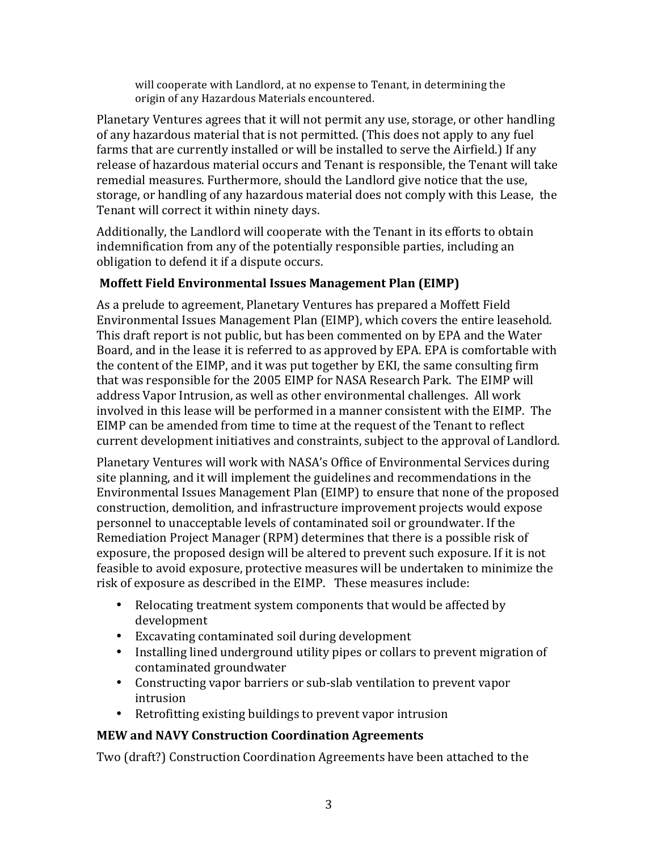will cooperate with Landlord, at no expense to Tenant, in determining the origin of any Hazardous Materials encountered.

Planetary Ventures agrees that it will not permit any use, storage, or other handling of any hazardous material that is not permitted. (This does not apply to any fuel farms that are currently installed or will be installed to serve the Airfield.) If any release of hazardous material occurs and Tenant is responsible, the Tenant will take remedial measures. Furthermore, should the Landlord give notice that the use, storage, or handling of any hazardous material does not comply with this Lease, the Tenant will correct it within ninety days.

Additionally, the Landlord will cooperate with the Tenant in its efforts to obtain indemnification from any of the potentially responsible parties, including an obligation to defend it if a dispute occurs.

# **Moffett Field Environmental Issues Management Plan (EIMP)**

As a prelude to agreement, Planetary Ventures has prepared a Moffett Field Environmental Issues Management Plan (EIMP), which covers the entire leasehold. This draft report is not public, but has been commented on by EPA and the Water Board, and in the lease it is referred to as approved by EPA. EPA is comfortable with the content of the EIMP, and it was put together by EKI, the same consulting firm that was responsible for the 2005 EIMP for NASA Research Park. The EIMP will address Vapor Intrusion, as well as other environmental challenges. All work involved in this lease will be performed in a manner consistent with the EIMP. The EIMP can be amended from time to time at the request of the Tenant to reflect current development initiatives and constraints, subject to the approval of Landlord.

Planetary Ventures will work with NASA's Office of Environmental Services during site planning, and it will implement the guidelines and recommendations in the Environmental Issues Management Plan (EIMP) to ensure that none of the proposed construction, demolition, and infrastructure improvement projects would expose personnel to unacceptable levels of contaminated soil or groundwater. If the Remediation Project Manager (RPM) determines that there is a possible risk of exposure, the proposed design will be altered to prevent such exposure. If it is not feasible to avoid exposure, protective measures will be undertaken to minimize the risk of exposure as described in the EIMP. These measures include:

- Relocating treatment system components that would be affected by development
- Excavating contaminated soil during development
- Installing lined underground utility pipes or collars to prevent migration of contaminated groundwater
- Constructing vapor barriers or sub-slab ventilation to prevent vapor intrusion
- Retrofitting existing buildings to prevent vapor intrusion

# **MEW and NAVY Construction Coordination Agreements**

Two (draft?) Construction Coordination Agreements have been attached to the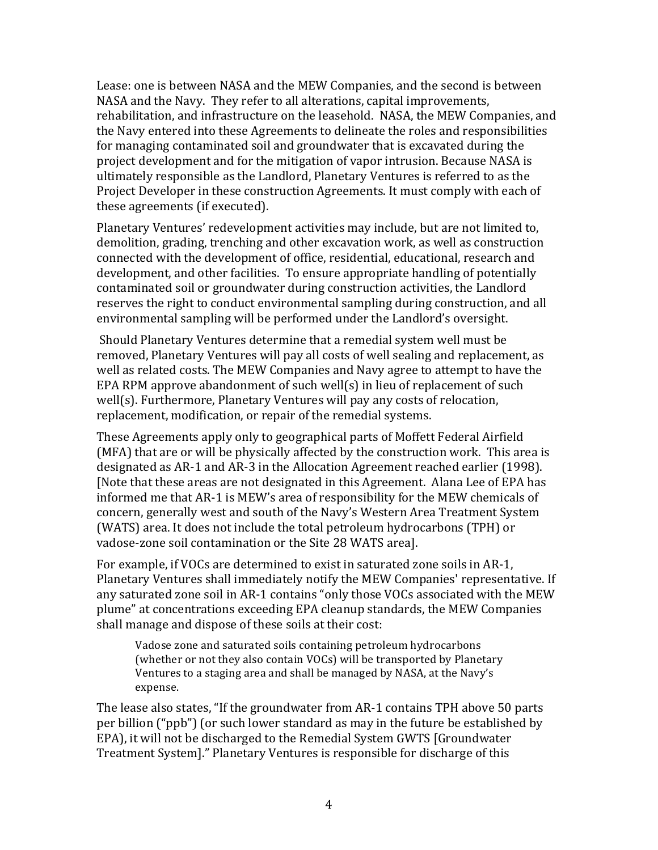Lease: one is between NASA and the MEW Companies, and the second is between NASA and the Navy. They refer to all alterations, capital improvements, rehabilitation, and infrastructure on the leasehold. NASA, the MEW Companies, and the Navy entered into these Agreements to delineate the roles and responsibilities for managing contaminated soil and groundwater that is excavated during the project development and for the mitigation of vapor intrusion. Because NASA is ultimately responsible as the Landlord, Planetary Ventures is referred to as the Project Developer in these construction Agreements. It must comply with each of these agreements (if executed).

Planetary Ventures' redevelopment activities may include, but are not limited to, demolition, grading, trenching and other excavation work, as well as construction connected with the development of office, residential, educational, research and development, and other facilities. To ensure appropriate handling of potentially contaminated soil or groundwater during construction activities, the Landlord reserves the right to conduct environmental sampling during construction, and all environmental sampling will be performed under the Landlord's oversight.

Should Planetary Ventures determine that a remedial system well must be removed, Planetary Ventures will pay all costs of well sealing and replacement, as well as related costs. The MEW Companies and Navy agree to attempt to have the EPA RPM approve abandonment of such well(s) in lieu of replacement of such well(s). Furthermore, Planetary Ventures will pay any costs of relocation, replacement, modification, or repair of the remedial systems.

These Agreements apply only to geographical parts of Moffett Federal Airfield (MFA) that are or will be physically affected by the construction work. This area is designated as AR-1 and AR-3 in the Allocation Agreement reached earlier (1998). [Note that these areas are not designated in this Agreement. Alana Lee of EPA has informed me that AR-1 is MEW's area of responsibility for the MEW chemicals of concern, generally west and south of the Navy's Western Area Treatment System (WATS) area. It does not include the total petroleum hydrocarbons (TPH) or vadose-zone soil contamination or the Site 28 WATS area].

For example, if VOCs are determined to exist in saturated zone soils in AR-1, Planetary Ventures shall immediately notify the MEW Companies' representative. If any saturated zone soil in AR-1 contains "only those VOCs associated with the MEW plume" at concentrations exceeding EPA cleanup standards, the MEW Companies shall manage and dispose of these soils at their cost:

Vadose zone and saturated soils containing petroleum hydrocarbons (whether or not they also contain VOCs) will be transported by Planetary Ventures to a staging area and shall be managed by NASA, at the Navy's expense. 

The lease also states, "If the groundwater from AR-1 contains TPH above 50 parts per billion ("ppb") (or such lower standard as may in the future be established by EPA), it will not be discharged to the Remedial System GWTS [Groundwater] Treatment System]." Planetary Ventures is responsible for discharge of this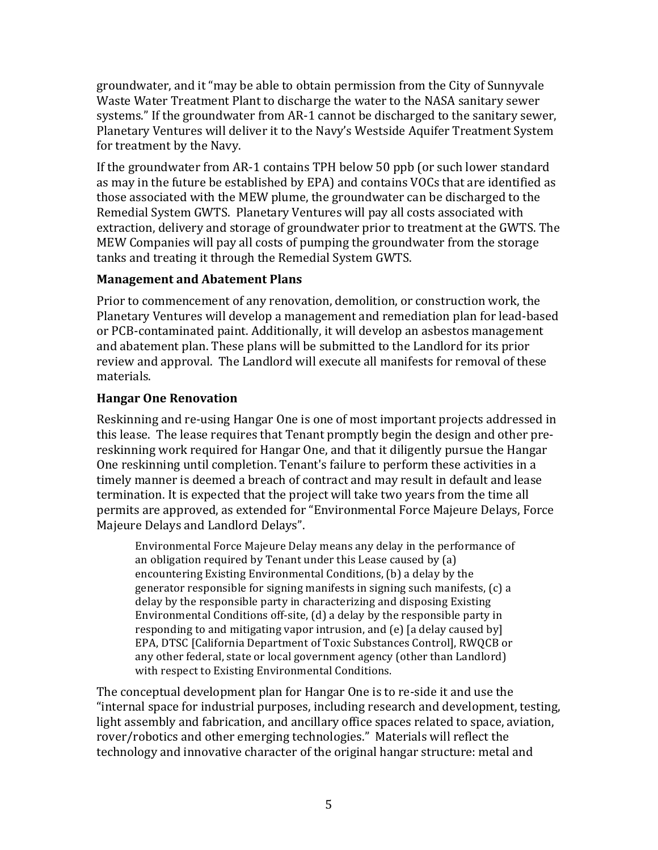groundwater, and it "may be able to obtain permission from the City of Sunnyvale Waste Water Treatment Plant to discharge the water to the NASA sanitary sewer systems." If the groundwater from AR-1 cannot be discharged to the sanitary sewer, Planetary Ventures will deliver it to the Navy's Westside Aquifer Treatment System for treatment by the Navy.

If the groundwater from AR-1 contains TPH below 50 ppb (or such lower standard as may in the future be established by EPA) and contains VOCs that are identified as those associated with the MEW plume, the groundwater can be discharged to the Remedial System GWTS. Planetary Ventures will pay all costs associated with extraction, delivery and storage of groundwater prior to treatment at the GWTS. The MEW Companies will pay all costs of pumping the groundwater from the storage tanks and treating it through the Remedial System GWTS.

### **Management and Abatement Plans**

Prior to commencement of any renovation, demolition, or construction work, the Planetary Ventures will develop a management and remediation plan for lead-based or PCB-contaminated paint. Additionally, it will develop an asbestos management and abatement plan. These plans will be submitted to the Landlord for its prior review and approval. The Landlord will execute all manifests for removal of these materials.

### **Hangar One Renovation**

Reskinning and re-using Hangar One is one of most important projects addressed in this lease. The lease requires that Tenant promptly begin the design and other prereskinning work required for Hangar One, and that it diligently pursue the Hangar One reskinning until completion. Tenant's failure to perform these activities in a timely manner is deemed a breach of contract and may result in default and lease termination. It is expected that the project will take two years from the time all permits are approved, as extended for "Environmental Force Majeure Delays, Force Majeure Delays and Landlord Delays".

Environmental Force Majeure Delay means any delay in the performance of an obligation required by Tenant under this Lease caused by  $(a)$ encountering Existing Environmental Conditions,  $(b)$  a delay by the generator responsible for signing manifests in signing such manifests,  $(c)$  a delay by the responsible party in characterizing and disposing Existing Environmental Conditions off-site,  $(d)$  a delay by the responsible party in responding to and mitigating vapor intrusion, and  $(e)$  [a delay caused by] EPA, DTSC [California Department of Toxic Substances Control], RWQCB or any other federal, state or local government agency (other than Landlord) with respect to Existing Environmental Conditions.

The conceptual development plan for Hangar One is to re-side it and use the "internal space for industrial purposes, including research and development, testing, light assembly and fabrication, and ancillary office spaces related to space, aviation, rover/robotics and other emerging technologies." Materials will reflect the technology and innovative character of the original hangar structure: metal and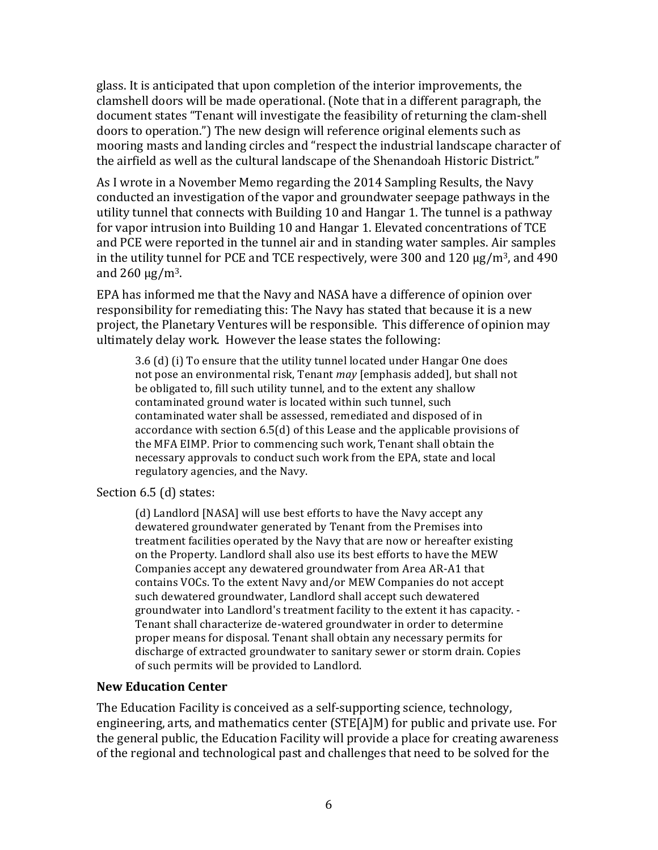glass. It is anticipated that upon completion of the interior improvements, the clamshell doors will be made operational. (Note that in a different paragraph, the document states "Tenant will investigate the feasibility of returning the clam-shell doors to operation.") The new design will reference original elements such as mooring masts and landing circles and "respect the industrial landscape character of the airfield as well as the cultural landscape of the Shenandoah Historic District."

As I wrote in a November Memo regarding the 2014 Sampling Results, the Navy conducted an investigation of the vapor and groundwater seepage pathways in the utility tunnel that connects with Building 10 and Hangar 1. The tunnel is a pathway for vapor intrusion into Building 10 and Hangar 1. Elevated concentrations of TCE and PCE were reported in the tunnel air and in standing water samples. Air samples in the utility tunnel for PCE and TCE respectively, were  $300$  and  $120 \mu g/m^3$ , and  $490$ and  $260 \mu g/m^3$ .

EPA has informed me that the Navy and NASA have a difference of opinion over responsibility for remediating this: The Navy has stated that because it is a new project, the Planetary Ventures will be responsible. This difference of opinion may ultimately delay work. However the lease states the following:

 $3.6$  (d) (i) To ensure that the utility tunnel located under Hangar One does not pose an environmental risk, Tenant *may* [emphasis added], but shall not be obligated to, fill such utility tunnel, and to the extent any shallow contaminated ground water is located within such tunnel, such contaminated water shall be assessed, remediated and disposed of in accordance with section  $6.5(d)$  of this Lease and the applicable provisions of the MFA EIMP. Prior to commencing such work, Tenant shall obtain the necessary approvals to conduct such work from the EPA, state and local regulatory agencies, and the Navy.

#### Section 6.5 (d) states:

(d) Landlord [NASA] will use best efforts to have the Navy accept any dewatered groundwater generated by Tenant from the Premises into treatment facilities operated by the Navy that are now or hereafter existing on the Property. Landlord shall also use its best efforts to have the MEW Companies accept any dewatered groundwater from Area AR-A1 that contains VOCs. To the extent Navy and/or MEW Companies do not accept such dewatered groundwater, Landlord shall accept such dewatered groundwater into Landlord's treatment facility to the extent it has capacity. -Tenant shall characterize de-watered groundwater in order to determine proper means for disposal. Tenant shall obtain any necessary permits for discharge of extracted groundwater to sanitary sewer or storm drain. Copies of such permits will be provided to Landlord.

#### **New Education Center**

The Education Facility is conceived as a self-supporting science, technology, engineering, arts, and mathematics center  $(STE[A]M)$  for public and private use. For the general public, the Education Facility will provide a place for creating awareness of the regional and technological past and challenges that need to be solved for the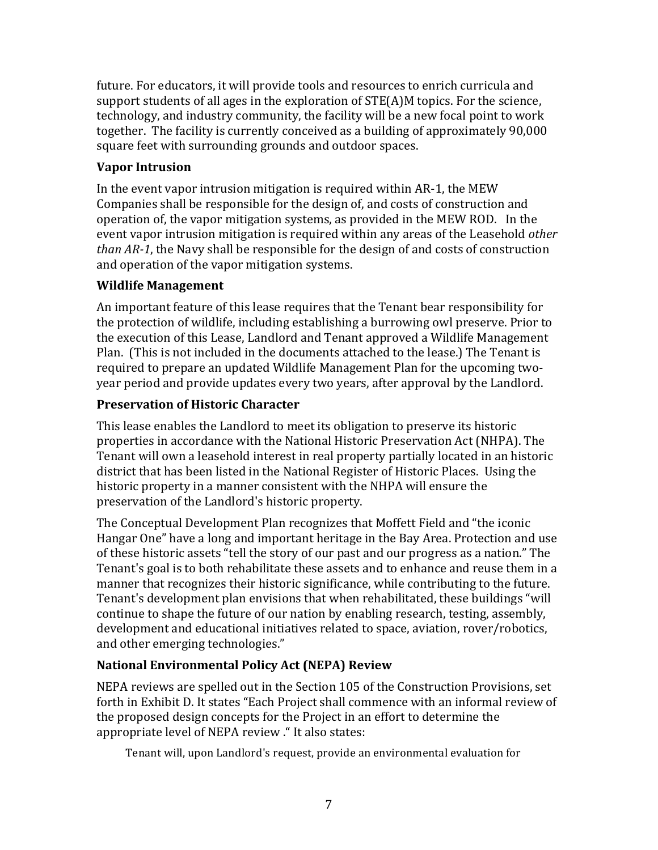future. For educators, it will provide tools and resources to enrich curricula and support students of all ages in the exploration of  $STE(A)M$  topics. For the science, technology, and industry community, the facility will be a new focal point to work together. The facility is currently conceived as a building of approximately 90,000 square feet with surrounding grounds and outdoor spaces.

# **Vapor Intrusion**

In the event vapor intrusion mitigation is required within  $AR-1$ , the MEW Companies shall be responsible for the design of, and costs of construction and operation of, the vapor mitigation systems, as provided in the MEW ROD. In the event vapor intrusion mitigation is required within any areas of the Leasehold *other than* AR-1, the Navy shall be responsible for the design of and costs of construction and operation of the vapor mitigation systems.

### **Wildlife Management**

An important feature of this lease requires that the Tenant bear responsibility for the protection of wildlife, including establishing a burrowing owl preserve. Prior to the execution of this Lease, Landlord and Tenant approved a Wildlife Management Plan. (This is not included in the documents attached to the lease.) The Tenant is required to prepare an updated Wildlife Management Plan for the upcoming twoyear period and provide updates every two years, after approval by the Landlord.

# **Preservation of Historic Character**

This lease enables the Landlord to meet its obligation to preserve its historic properties in accordance with the National Historic Preservation Act (NHPA). The Tenant will own a leasehold interest in real property partially located in an historic district that has been listed in the National Register of Historic Places. Using the historic property in a manner consistent with the NHPA will ensure the preservation of the Landlord's historic property.

The Conceptual Development Plan recognizes that Moffett Field and "the iconic Hangar One" have a long and important heritage in the Bay Area. Protection and use of these historic assets "tell the story of our past and our progress as a nation." The Tenant's goal is to both rehabilitate these assets and to enhance and reuse them in a manner that recognizes their historic significance, while contributing to the future. Tenant's development plan envisions that when rehabilitated, these buildings "will continue to shape the future of our nation by enabling research, testing, assembly, development and educational initiatives related to space, aviation, rover/robotics, and other emerging technologies."

# **National Environmental Policy Act (NEPA) Review**

NEPA reviews are spelled out in the Section 105 of the Construction Provisions, set forth in Exhibit D. It states "Each Project shall commence with an informal review of the proposed design concepts for the Project in an effort to determine the appropriate level of NEPA review ." It also states:

Tenant will, upon Landlord's request, provide an environmental evaluation for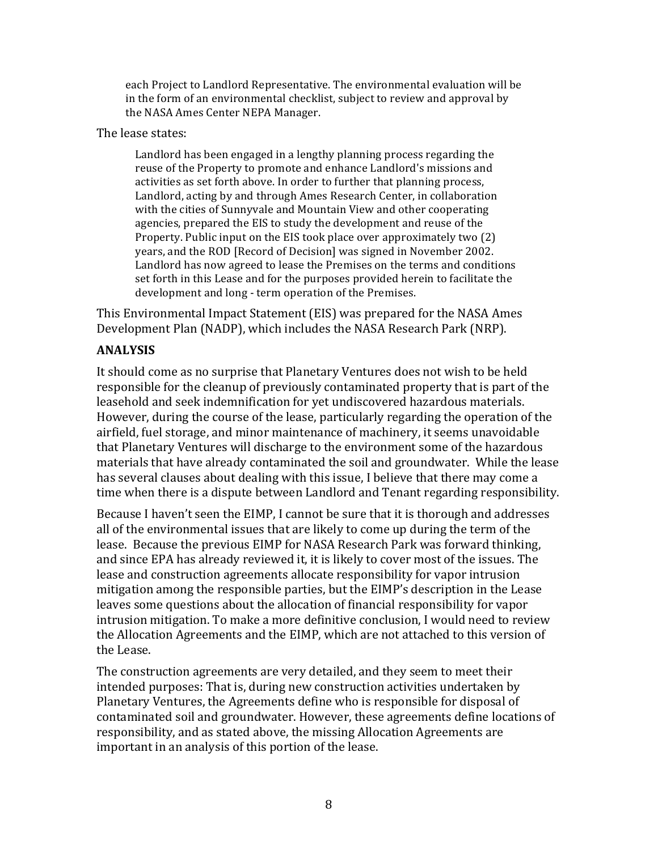each Project to Landlord Representative. The environmental evaluation will be in the form of an environmental checklist, subject to review and approval by the NASA Ames Center NEPA Manager.

The lease states:

Landlord has been engaged in a lengthy planning process regarding the reuse of the Property to promote and enhance Landlord's missions and activities as set forth above. In order to further that planning process, Landlord, acting by and through Ames Research Center, in collaboration with the cities of Sunnyvale and Mountain View and other cooperating agencies, prepared the EIS to study the development and reuse of the Property. Public input on the EIS took place over approximately two (2) years, and the ROD [Record of Decision] was signed in November 2002. Landlord has now agreed to lease the Premises on the terms and conditions set forth in this Lease and for the purposes provided herein to facilitate the development and long - term operation of the Premises.

This Environmental Impact Statement (EIS) was prepared for the NASA Ames Development Plan (NADP), which includes the NASA Research Park (NRP).

# **ANALYSIS**

It should come as no surprise that Planetary Ventures does not wish to be held responsible for the cleanup of previously contaminated property that is part of the leasehold and seek indemnification for yet undiscovered hazardous materials. However, during the course of the lease, particularly regarding the operation of the airfield, fuel storage, and minor maintenance of machinery, it seems unavoidable that Planetary Ventures will discharge to the environment some of the hazardous materials that have already contaminated the soil and groundwater. While the lease has several clauses about dealing with this issue, I believe that there may come a time when there is a dispute between Landlord and Tenant regarding responsibility.

Because I haven't seen the EIMP, I cannot be sure that it is thorough and addresses all of the environmental issues that are likely to come up during the term of the lease. Because the previous EIMP for NASA Research Park was forward thinking, and since EPA has already reviewed it, it is likely to cover most of the issues. The lease and construction agreements allocate responsibility for vapor intrusion mitigation among the responsible parties, but the EIMP's description in the Lease leaves some questions about the allocation of financial responsibility for vapor intrusion mitigation. To make a more definitive conclusion, I would need to review the Allocation Agreements and the EIMP, which are not attached to this version of the Lease.

The construction agreements are very detailed, and they seem to meet their intended purposes: That is, during new construction activities undertaken by Planetary Ventures, the Agreements define who is responsible for disposal of contaminated soil and groundwater. However, these agreements define locations of responsibility, and as stated above, the missing Allocation Agreements are important in an analysis of this portion of the lease.